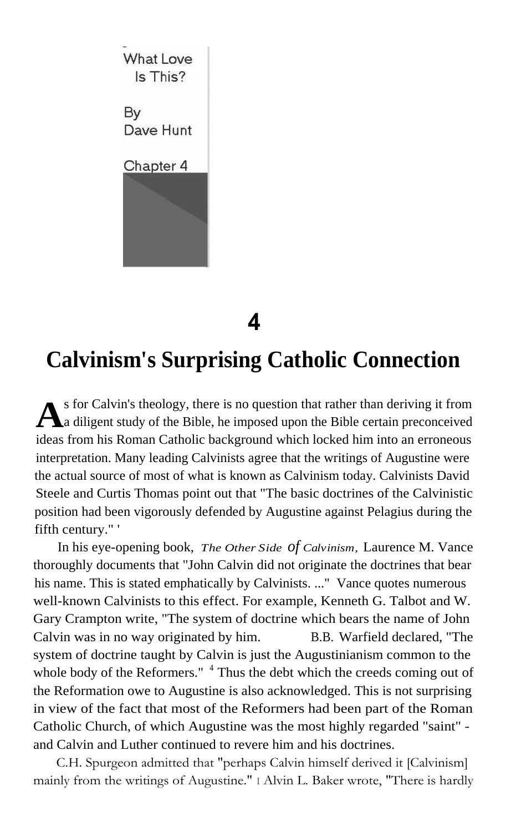

# **4**

# **Calvinism's Surprising Catholic Connection**

**A**s for Calvin's theology, there is no question that rather than deriving it from a diligent study of the Bible, he imposed upon the Bible certain preconceived ideas from his Roman Catholic background which locked him into an erroneous interpretation. Many leading Calvinists agree that the writings of Augustine were the actual source of most of what is known as Calvinism today. Calvinists David Steele and Curtis Thomas point out that "The basic doctrines of the Calvinistic position had been vigorously defended by Augustine against Pelagius during the fifth century." '

In his eye-opening book, *The Other Side of Calvinism,* Laurence M. Vance thoroughly documents that "John Calvin did not originate the doctrines that bear his name. This is stated emphatically by Calvinists. ..." Vance quotes numerous well-known Calvinists to this effect. For example, Kenneth G. Talbot and W. Gary Crampton write, "The system of doctrine which bears the name of John Calvin was in no way originated by him. B.B. Warfield declared, "The system of doctrine taught by Calvin is just the Augustinianism common to the whole body of the Reformers." <sup>4</sup> Thus the debt which the creeds coming out of the Reformation owe to Augustine is also acknowledged. This is not surprising in view of the fact that most of the Reformers had been part of the Roman Catholic Church, of which Augustine was the most highly regarded "saint" and Calvin and Luther continued to revere him and his doctrines.

C.H. Spurgeon admitted that "perhaps Calvin himself derived it [Calvinism] mainly from the writings of Augustine." <sup>I</sup> Alvin L. Baker wrote, "There is hardly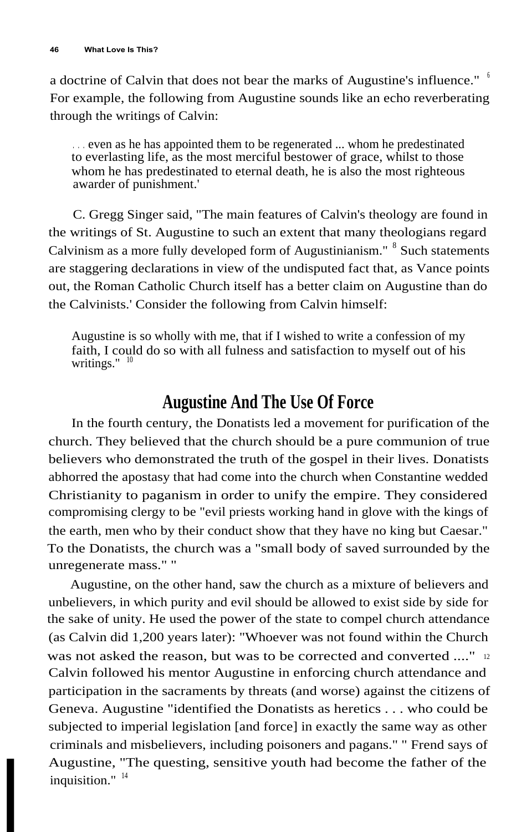**I**

a doctrine of Calvin that does not bear the marks of Augustine's influence." For example, the following from Augustine sounds like an echo reverberating through the writings of Calvin:

. . . even as he has appointed them to be regenerated ... whom he predestinated to everlasting life, as the most merciful bestower of grace, whilst to those whom he has predestinated to eternal death, he is also the most righteous awarder of punishment.'

C. Gregg Singer said, "The main features of Calvin's theology are found in the writings of St. Augustine to such an extent that many theologians regard Calvinism as a more fully developed form of Augustinianism." <sup>8</sup> Such statements are staggering declarations in view of the undisputed fact that, as Vance points out, the Roman Catholic Church itself has a better claim on Augustine than do the Calvinists.' Consider the following from Calvin himself:

Augustine is so wholly with me, that if I wished to write a confession of my faith, I could do so with all fulness and satisfaction to myself out of his writings." <sup>10</sup>

## **Augustine And The Use Of Force**

In the fourth century, the Donatists led a movement for purification of the church. They believed that the church should be a pure communion of true believers who demonstrated the truth of the gospel in their lives. Donatists abhorred the apostasy that had come into the church when Constantine wedded Christianity to paganism in order to unify the empire. They considered compromising clergy to be "evil priests working hand in glove with the kings of the earth, men who by their conduct show that they have no king but Caesar." To the Donatists, the church was a "small body of saved surrounded by the unregenerate mass." "

Augustine, on the other hand, saw the church as a mixture of believers and unbelievers, in which purity and evil should be allowed to exist side by side for the sake of unity. He used the power of the state to compel church attendance (as Calvin did 1,200 years later): "Whoever was not found within the Church was not asked the reason, but was to be corrected and converted ...." <sup>12</sup> Calvin followed his mentor Augustine in enforcing church attendance and participation in the sacraments by threats (and worse) against the citizens of Geneva. Augustine "identified the Donatists as heretics . . . who could be subjected to imperial legislation [and force] in exactly the same way as other criminals and misbelievers, including poisoners and pagans." " Frend says of Augustine, "The questing, sensitive youth had become the father of the inquisition." $14$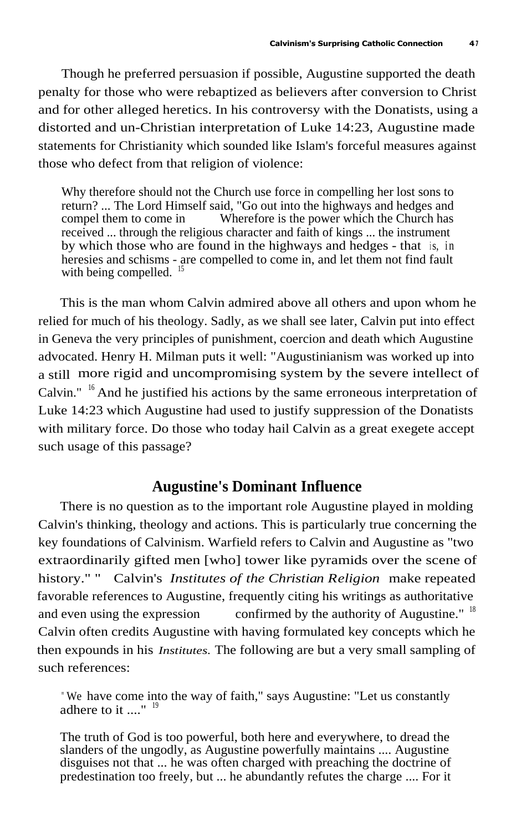Though he preferred persuasion if possible, Augustine supported the death penalty for those who were rebaptized as believers after conversion to Christ and for other alleged heretics. In his controversy with the Donatists, using a distorted and un-Christian interpretation of Luke 14:23, Augustine made statements for Christianity which sounded like Islam's forceful measures against those who defect from that religion of violence:

Why therefore should not the Church use force in compelling her lost sons to return? ... The Lord Himself said, "Go out into the highways and hedges and Wherefore is the power which the Church has received ... through the religious character and faith of kings ... the instrument by which those who are found in the highways and hedges - that is, in heresies and schisms - are compelled to come in, and let them not find fault with being compelled.  $15$ 

This is the man whom Calvin admired above all others and upon whom he relied for much of his theology. Sadly, as we shall see later, Calvin put into effect in Geneva the very principles of punishment, coercion and death which Augustine advocated. Henry H. Milman puts it well: "Augustinianism was worked up into a still more rigid and uncompromising system by the severe intellect of Calvin."  $16$  And he justified his actions by the same erroneous interpretation of Luke 14:23 which Augustine had used to justify suppression of the Donatists with military force. Do those who today hail Calvin as a great exegete accept such usage of this passage?

### **Augustine's Dominant Influence**

There is no question as to the important role Augustine played in molding Calvin's thinking, theology and actions. This is particularly true concerning the key foundations of Calvinism. Warfield refers to Calvin and Augustine as "two extraordinarily gifted men [who] tower like pyramids over the scene of history." " Calvin's *Institutes of the Christian Religion* make repeated favorable references to Augustine, frequently citing his writings as authoritative and even using the expression confirmed by the authority of Augustine."  $18$ Calvin often credits Augustine with having formulated key concepts which he then expounds in his *Institutes.* The following are but a very small sampling of such references:

" We have come into the way of faith," says Augustine: "Let us constantly adhere to it  $\ldots$ "<sup>19</sup>

The truth of God is too powerful, both here and everywhere, to dread the slanders of the ungodly, as Augustine powerfully maintains .... Augustine disguises not that ... he was often charged with preaching the doctrine of predestination too freely, but ... he abundantly refutes the charge .... For it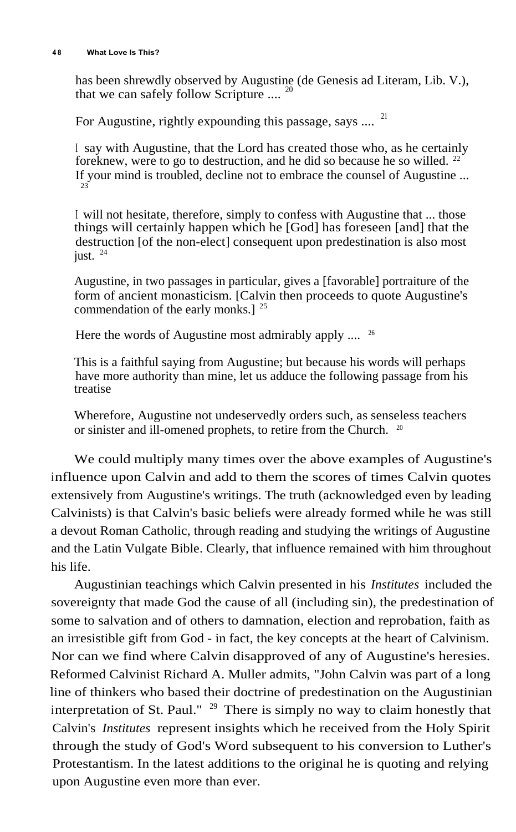has been shrewdly observed by Augustine (de Genesis ad Literam, Lib. V.), that we can safely follow Scripture ....<sup>20</sup>

For Augustine, rightly expounding this passage, says ....<sup>21</sup>

<sup>I</sup> say with Augustine, that the Lord has created those who, as he certainly foreknew, were to go to destruction, and he did so because he so willed. <sup>22</sup> If your mind is troubled, decline not to embrace the counsel of Augustine ... 23

<sup>I</sup> will not hesitate, therefore, simply to confess with Augustine that ... those things will certainly happen which he [God] has foreseen [and] that the destruction [of the non-elect] consequent upon predestination is also most just. <sup>24</sup>

Augustine, in two passages in particular, gives a [favorable] portraiture of the form of ancient monasticism. [Calvin then proceeds to quote Augustine's commendation of the early monks.]<sup>25</sup>

Here the words of Augustine most admirably apply .... <sup>26</sup>

This is a faithful saying from Augustine; but because his words will perhaps have more authority than mine, let us adduce the following passage from his treatise

Wherefore, Augustine not undeservedly orders such, as senseless teachers or sinister and ill-omened prophets, to retire from the Church. <sup>20</sup>

We could multiply many times over the above examples of Augustine's influence upon Calvin and add to them the scores of times Calvin quotes extensively from Augustine's writings. The truth (acknowledged even by leading Calvinists) is that Calvin's basic beliefs were already formed while he was still a devout Roman Catholic, through reading and studying the writings of Augustine and the Latin Vulgate Bible. Clearly, that influence remained with him throughout his life.

Augustinian teachings which Calvin presented in his *Institutes* included the sovereignty that made God the cause of all (including sin), the predestination of some to salvation and of others to damnation, election and reprobation, faith as an irresistible gift from God - in fact, the key concepts at the heart of Calvinism. Nor can we find where Calvin disapproved of any of Augustine's heresies. Reformed Calvinist Richard A. Muller admits, "John Calvin was part of a long line of thinkers who based their doctrine of predestination on the Augustinian interpretation of St. Paul."  $^{29}$  There is simply no way to claim honestly that Calvin's *Institutes* represent insights which he received from the Holy Spirit through the study of God's Word subsequent to his conversion to Luther's Protestantism. In the latest additions to the original he is quoting and relying upon Augustine even more than ever.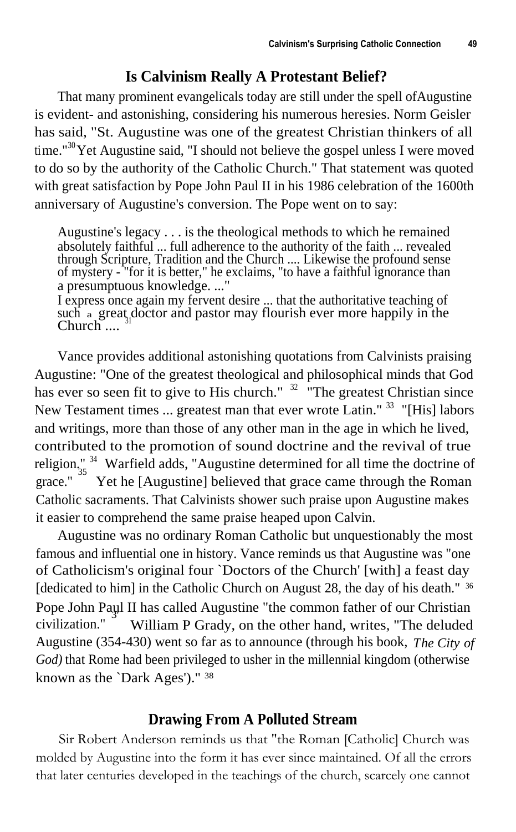### **Is Calvinism Really A Protestant Belief?**

That many prominent evangelicals today are still under the spell ofAugustine is evident- and astonishing, considering his numerous heresies. Norm Geisler has said, "St. Augustine was one of the greatest Christian thinkers of all time."<sup>30</sup>Yet Augustine said, "I should not believe the gospel unless I were moved to do so by the authority of the Catholic Church." That statement was quoted with great satisfaction by Pope John Paul II in his 1986 celebration of the 1600th anniversary of Augustine's conversion. The Pope went on to say:

Augustine's legacy . . . is the theological methods to which he remained absolutely faithful ... full adherence to the authority of the faith ... revealed through Scripture, Tradition and the Church .... Likewise the profound sense of mystery - "for it is better," he exclaims, "to have a faithful ignorance than a presumptuous knowledge. ..."

I express once again my fervent desire ... that the authoritative teaching of such a great doctor and pastor may flourish ever more happily in the Church ....

Vance provides additional astonishing quotations from Calvinists praising Augustine: "One of the greatest theological and philosophical minds that God has ever so seen fit to give to His church."  $32$  "The greatest Christian since New Testament times ... greatest man that ever wrote Latin." <sup>33</sup> "[His] labors and writings, more than those of any other man in the age in which he lived, contributed to the promotion of sound doctrine and the revival of true religion."<sup>34</sup> Warfield adds, "Augustine determined for all time the doctrine of grace." Yet he [Augustine] believed that grace came through the Roman grace." Catholic sacraments. That Calvinists shower such praise upon Augustine makes it easier to comprehend the same praise heaped upon Calvin.

Augustine was no ordinary Roman Catholic but unquestionably the most famous and influential one in history. Vance reminds us that Augustine was "one of Catholicism's original four `Doctors of the Church' [with] a feast day [dedicated to him] in the Catholic Church on August 28, the day of his death." <sup>36</sup> Pope John Paul II has called Augustine "the common father of our Christian civilization." William P Grady, on the other hand, writes, "The deluded Augustine (354-430) went so far as to announce (through his book, *The City of God)* that Rome had been privileged to usher in the millennial kingdom (otherwise known as the `Dark Ages')." <sup>38</sup>

#### **Drawing From A Polluted Stream**

Sir Robert Anderson reminds us that "the Roman [Catholic] Church was molded by Augustine into the form it has ever since maintained. Of all the errors that later centuries developed in the teachings of the church, scarcely one cannot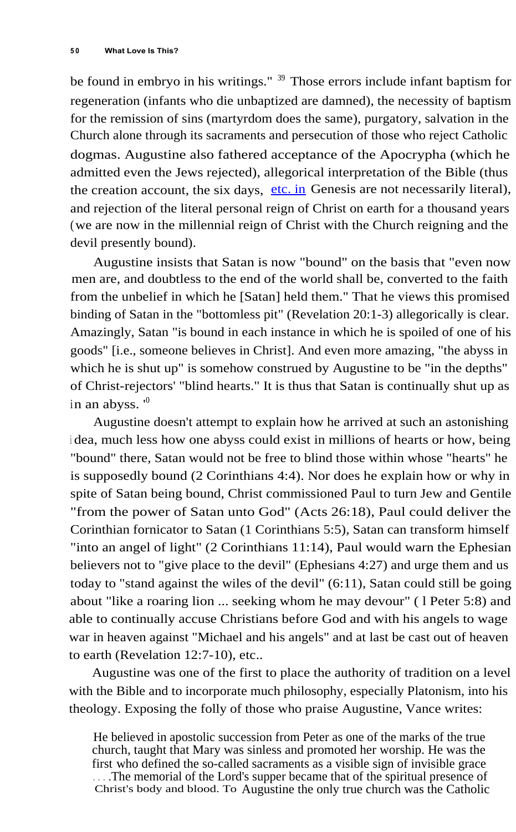be found in embryo in his writings." <sup>39</sup> Those errors include infant baptism for regeneration (infants who die unbaptized are damned), the necessity of baptism for the remission of sins (martyrdom does the same), purgatory, salvation in the Church alone through its sacraments and persecution of those who reject Catholic dogmas. Augustine also fathered acceptance of the Apocrypha (which he admitted even the Jews rejected), allegorical interpretation of the Bible (thus the creation account, the six days, [etc. in](http://etc.in) Genesis are not necessarily literal), and rejection of the literal personal reign of Christ on earth for a thousand years (we are now in the millennial reign of Christ with the Church reigning and the devil presently bound).

Augustine insists that Satan is now "bound" on the basis that "even now men are, and doubtless to the end of the world shall be, converted to the faith from the unbelief in which he [Satan] held them." That he views this promised binding of Satan in the "bottomless pit" (Revelation 20:1-3) allegorically is clear. Amazingly, Satan "is bound in each instance in which he is spoiled of one of his goods" [i.e., someone believes in Christ]. And even more amazing, "the abyss in which he is shut up" is somehow construed by Augustine to be "in the depths" of Christ-rejectors' "blind hearts." It is thus that Satan is continually shut up as in an abyss.  $\sqrt{0}$ 

Augustine doesn't attempt to explain how he arrived at such an astonishing <sup>i</sup> dea, much less how one abyss could exist in millions of hearts or how, being "bound" there, Satan would not be free to blind those within whose "hearts" he is supposedly bound (2 Corinthians 4:4). Nor does he explain how or why in spite of Satan being bound, Christ commissioned Paul to turn Jew and Gentile "from the power of Satan unto God" (Acts 26:18), Paul could deliver the Corinthian fornicator to Satan (1 Corinthians 5:5), Satan can transform himself "into an angel of light" (2 Corinthians 11:14), Paul would warn the Ephesian believers not to "give place to the devil" (Ephesians 4:27) and urge them and us today to "stand against the wiles of the devil" (6:11), Satan could still be going about "like a roaring lion ... seeking whom he may devour" ( l Peter 5:8) and able to continually accuse Christians before God and with his angels to wage war in heaven against "Michael and his angels" and at last be cast out of heaven to earth (Revelation 12:7-10), etc..

Augustine was one of the first to place the authority of tradition on a level with the Bible and to incorporate much philosophy, especially Platonism, into his theology. Exposing the folly of those who praise Augustine, Vance writes:

He believed in apostolic succession from Peter as one of the marks of the true church, taught that Mary was sinless and promoted her worship. He was the first who defined the so-called sacraments as a visible sign of invisible grace . . . .The memorial of the Lord's supper became that of the spiritual presence of Christ's body and blood. To Augustine the only true church was the Catholic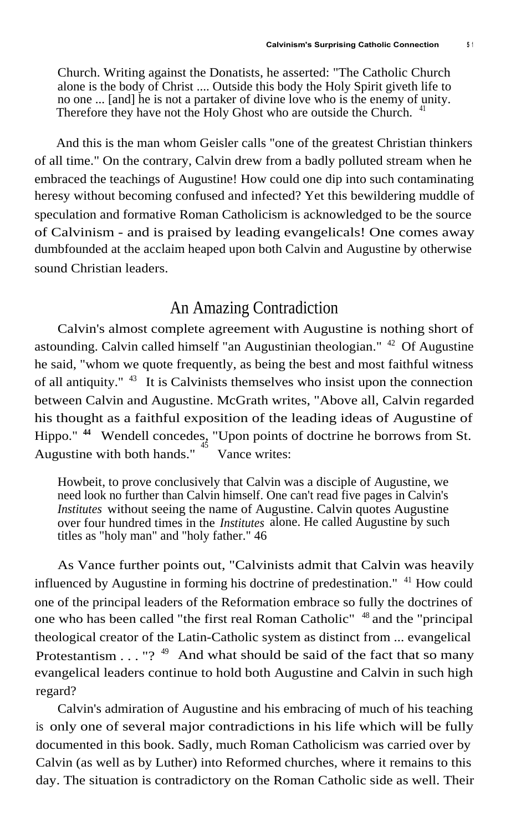Church. Writing against the Donatists, he asserted: "The Catholic Church alone is the body of Christ .... Outside this body the Holy Spirit giveth life to no one ... [and] he is not a partaker of divine love who is the enemy of unity. Therefore they have not the Holy Ghost who are outside the Church. <sup>41</sup>

And this is the man whom Geisler calls "one of the greatest Christian thinkers of all time." On the contrary, Calvin drew from a badly polluted stream when he embraced the teachings of Augustine! How could one dip into such contaminating heresy without becoming confused and infected? Yet this bewildering muddle of speculation and formative Roman Catholicism is acknowledged to be the source of Calvinism - and is praised by leading evangelicals! One comes away dumbfounded at the acclaim heaped upon both Calvin and Augustine by otherwise sound Christian leaders.

## An Amazing Contradiction

Calvin's almost complete agreement with Augustine is nothing short of astounding. Calvin called himself "an Augustinian theologian." <sup>42</sup> Of Augustine he said, "whom we quote frequently, as being the best and most faithful witness of all antiquity."  $43$  It is Calvinists themselves who insist upon the connection between Calvin and Augustine. McGrath writes, "Above all, Calvin regarded his thought as a faithful exposition of the leading ideas of Augustine of Hippo." **<sup>44</sup>** Wendell concedes, "Upon points of doctrine he borrows from St. Augustine with both hands." <sup>45</sup> Vance writes:

Howbeit, to prove conclusively that Calvin was a disciple of Augustine, we need look no further than Calvin himself. One can't read five pages in Calvin's *Institutes* without seeing the name of Augustine. Calvin quotes Augustine over four hundred times in the *Institutes* alone. He called Augustine by such titles as "holy man" and "holy father." 46

As Vance further points out, "Calvinists admit that Calvin was heavily influenced by Augustine in forming his doctrine of predestination." <sup>41</sup> How could one of the principal leaders of the Reformation embrace so fully the doctrines of one who has been called "the first real Roman Catholic" <sup>48</sup> and the "principal theological creator of the Latin-Catholic system as distinct from ... evangelical Protestantism  $\ldots$  "? <sup>49</sup> And what should be said of the fact that so many evangelical leaders continue to hold both Augustine and Calvin in such high regard?

Calvin's admiration of Augustine and his embracing of much of his teaching is only one of several major contradictions in his life which will be fully documented in this book. Sadly, much Roman Catholicism was carried over by Calvin (as well as by Luther) into Reformed churches, where it remains to this day. The situation is contradictory on the Roman Catholic side as well. Their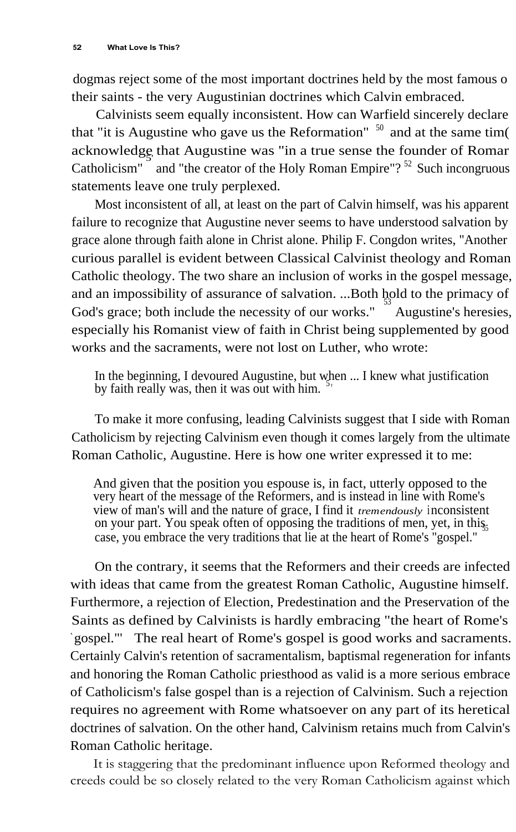dogmas reject some of the most important doctrines held by the most famous o their saints - the very Augustinian doctrines which Calvin embraced.

Calvinists seem equally inconsistent. How can Warfield sincerely declare that "it is Augustine who gave us the Reformation"  $50$  and at the same tim( acknowledge that Augustine was "in a true sense the founder of Romar  $\alpha$ <sup>1</sup> Catholicism" and "the creator of the Holy Roman Empire"?<sup>52</sup> Such incongruous statements leave one truly perplexed.

Most inconsistent of all, at least on the part of Calvin himself, was his apparent failure to recognize that Augustine never seems to have understood salvation by grace alone through faith alone in Christ alone. Philip F. Congdon writes, "Another curious parallel is evident between Classical Calvinist theology and Roman Catholic theology. The two share an inclusion of works in the gospel message, and an impossibility of assurance of salvation. ...Both  $\frac{1}{53}$  hold to the primacy of God's grace; both include the necessity of our works." Augustine's heresies, especially his Romanist view of faith in Christ being supplemented by good works and the sacraments, were not lost on Luther, who wrote:

In the beginning, I devoured Augustine, but when ... I knew what justification by faith really was, then it was out with him.

To make it more confusing, leading Calvinists suggest that I side with Roman Catholicism by rejecting Calvinism even though it comes largely from the ultimate Roman Catholic, Augustine. Here is how one writer expressed it to me:

And given that the position you espouse is, in fact, utterly opposed to the very heart of the message of the Reformers, and is instead in line with Rome's view of man's will and the nature of grace, I find it *tremendously* inconsistent on your part. You speak often of opposing the traditions of men, yet, in this, case, you embrace the very traditions that lie at the heart of Rome's "gospel."

On the contrary, it seems that the Reformers and their creeds are infected with ideas that came from the greatest Roman Catholic, Augustine himself. Furthermore, a rejection of Election, Predestination and the Preservation of the Saints as defined by Calvinists is hardly embracing "the heart of Rome's `gospel."' The real heart of Rome's gospel is good works and sacraments. Certainly Calvin's retention of sacramentalism, baptismal regeneration for infants and honoring the Roman Catholic priesthood as valid is a more serious embrace of Catholicism's false gospel than is a rejection of Calvinism. Such a rejection requires no agreement with Rome whatsoever on any part of its heretical doctrines of salvation. On the other hand, Calvinism retains much from Calvin's Roman Catholic heritage.

It is staggering that the predominant influence upon Reformed theology and creeds could be so closely related to the very Roman Catholicism against which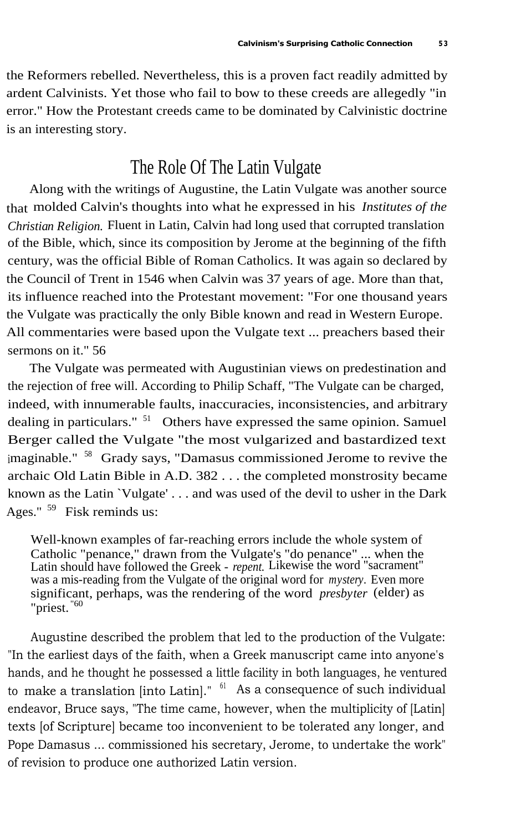the Reformers rebelled. Nevertheless, this is a proven fact readily admitted by ardent Calvinists. Yet those who fail to bow to these creeds are allegedly "in error." How the Protestant creeds came to be dominated by Calvinistic doctrine is an interesting story.

# The Role Of The Latin Vulgate

Along with the writings of Augustine, the Latin Vulgate was another source that molded Calvin's thoughts into what he expressed in his *Institutes of the Christian Religion.* Fluent in Latin, Calvin had long used that corrupted translation of the Bible, which, since its composition by Jerome at the beginning of the fifth century, was the official Bible of Roman Catholics. It was again so declared by the Council of Trent in 1546 when Calvin was 37 years of age. More than that, its influence reached into the Protestant movement: "For one thousand years the Vulgate was practically the only Bible known and read in Western Europe. All commentaries were based upon the Vulgate text ... preachers based their sermons on it." 56

The Vulgate was permeated with Augustinian views on predestination and the rejection of free will. According to Philip Schaff, "The Vulgate can be charged, indeed, with innumerable faults, inaccuracies, inconsistencies, and arbitrary dealing in particulars." <sup>51</sup> Others have expressed the same opinion. Samuel Berger called the Vulgate "the most vulgarized and bastardized text imaginable." <sup>58</sup> Grady says, "Damasus commissioned Jerome to revive the archaic Old Latin Bible in A.D. 382 . . . the completed monstrosity became known as the Latin `Vulgate' . . . and was used of the devil to usher in the Dark Ages." <sup>59</sup> Fisk reminds us:

Well-known examples of far-reaching errors include the whole system of Catholic "penance," drawn from the Vulgate's "do penance" ... when the Latin should have followed the Greek - *repent.* Likewise the word "sacrament" was a mis-reading from the Vulgate of the original word for *mystery.* Even more significant, perhaps, was the rendering of the word *presbyter* (elder) as "priest. "60

Augustine described the problem that led to the production of the Vulgate: "In the earliest days of the faith, when a Greek manuscript came into anyone's hands, and he thought he possessed a little facility in both languages, he ventured to make a translation [into Latin]."  $61$  As a consequence of such individual endeavor, Bruce says, "The time came, however, when the multiplicity of [Latin] texts [of Scripture] became too inconvenient to be tolerated any longer, and Pope Damasus ... commissioned his secretary, Jerome, to undertake the work" of revision to produce one authorized Latin version.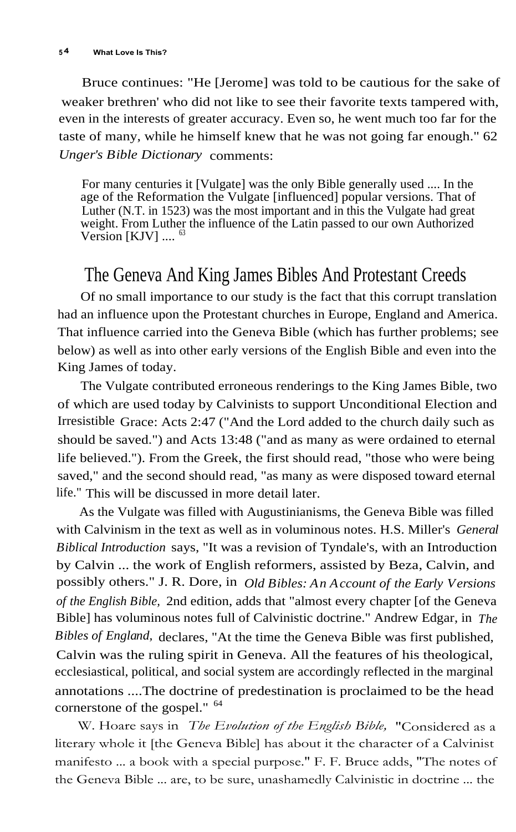Bruce continues: "He [Jerome] was told to be cautious for the sake of weaker brethren' who did not like to see their favorite texts tampered with, even in the interests of greater accuracy. Even so, he went much too far for the taste of many, while he himself knew that he was not going far enough." 62 *Unger's Bible Dictionary* comments:

For many centuries it [Vulgate] was the only Bible generally used .... In the age of the Reformation the Vulgate [influenced] popular versions. That of Luther (N.T. in 1523) was the most important and in this the Vulgate had great weight. From Luther the influence of the Latin passed to our own Authorized Version [KJV] .... 63

## The Geneva And King James Bibles And Protestant Creeds

Of no small importance to our study is the fact that this corrupt translation had an influence upon the Protestant churches in Europe, England and America. That influence carried into the Geneva Bible (which has further problems; see below) as well as into other early versions of the English Bible and even into the King James of today.

The Vulgate contributed erroneous renderings to the King James Bible, two of which are used today by Calvinists to support Unconditional Election and Irresistible Grace: Acts 2:47 ("And the Lord added to the church daily such as should be saved.") and Acts 13:48 ("and as many as were ordained to eternal life believed."). From the Greek, the first should read, "those who were being saved," and the second should read, "as many as were disposed toward eternal life." This will be discussed in more detail later.

As the Vulgate was filled with Augustinianisms, the Geneva Bible was filled with Calvinism in the text as well as in voluminous notes. H.S. Miller's *General Biblical Introduction* says, "It was a revision of Tyndale's, with an Introduction by Calvin ... the work of English reformers, assisted by Beza, Calvin, and possibly others." J. R. Dore, in *Old Bibles: An Account of the Early Versions of the English Bible,* 2nd edition, adds that "almost every chapter [of the Geneva Bible] has voluminous notes full of Calvinistic doctrine." Andrew Edgar, in *The Bibles of England,* declares, "At the time the Geneva Bible was first published, Calvin was the ruling spirit in Geneva. All the features of his theological, ecclesiastical, political, and social system are accordingly reflected in the marginal annotations ....The doctrine of predestination is proclaimed to be the head cornerstone of the gospel." <sup>64</sup>

W. Hoare says in *The Evolution of the English Bible,* "Considered as a literary whole it [the Geneva Bible] has about it the character of a Calvinist manifesto ... a book with a special purpose." F. F. Bruce adds, "The notes of the Geneva Bible ... are, to be sure, unashamedly Calvinistic in doctrine ... the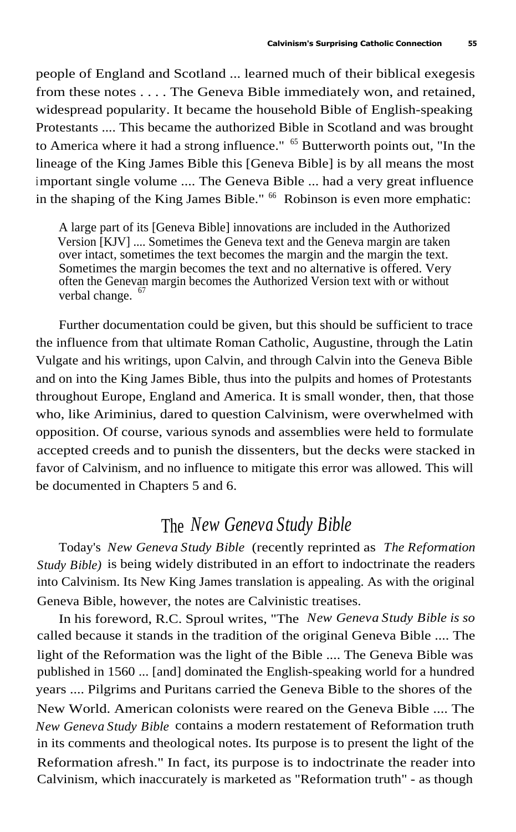people of England and Scotland ... learned much of their biblical exegesis from these notes . . . . The Geneva Bible immediately won, and retained, widespread popularity. It became the household Bible of English-speaking Protestants .... This became the authorized Bible in Scotland and was brought to America where it had a strong influence."  $65$  Butterworth points out, "In the lineage of the King James Bible this [Geneva Bible] is by all means the most important single volume .... The Geneva Bible ... had a very great influence in the shaping of the King James Bible." <sup>66</sup> Robinson is even more emphatic:

A large part of its [Geneva Bible] innovations are included in the Authorized Version [KJV] .... Sometimes the Geneva text and the Geneva margin are taken over intact, sometimes the text becomes the margin and the margin the text. Sometimes the margin becomes the text and no alternative is offered. Very often the Genevan margin becomes the Authorized Version text with or without verbal change.  $67$ 

Further documentation could be given, but this should be sufficient to trace the influence from that ultimate Roman Catholic, Augustine, through the Latin Vulgate and his writings, upon Calvin, and through Calvin into the Geneva Bible and on into the King James Bible, thus into the pulpits and homes of Protestants throughout Europe, England and America. It is small wonder, then, that those who, like Ariminius, dared to question Calvinism, were overwhelmed with opposition. Of course, various synods and assemblies were held to formulate accepted creeds and to punish the dissenters, but the decks were stacked in favor of Calvinism, and no influence to mitigate this error was allowed. This will be documented in Chapters 5 and 6.

## The *New Geneva Study Bible*

Today's *New Geneva Study Bible* (recently reprinted as *The Reformation Study Bible)* is being widely distributed in an effort to indoctrinate the readers into Calvinism. Its New King James translation is appealing. As with the original Geneva Bible, however, the notes are Calvinistic treatises.

In his foreword, R.C. Sproul writes, "The *New Geneva Study Bible is so* called because it stands in the tradition of the original Geneva Bible .... The light of the Reformation was the light of the Bible .... The Geneva Bible was published in 1560 ... [and] dominated the English-speaking world for a hundred years .... Pilgrims and Puritans carried the Geneva Bible to the shores of the New World. American colonists were reared on the Geneva Bible .... The *New Geneva Study Bible* contains a modern restatement of Reformation truth in its comments and theological notes. Its purpose is to present the light of the Reformation afresh." In fact, its purpose is to indoctrinate the reader into Calvinism, which inaccurately is marketed as "Reformation truth" - as though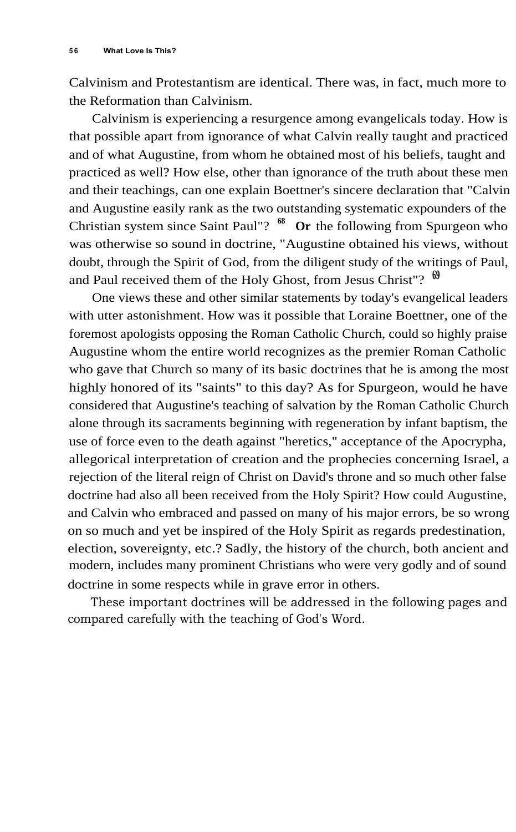Calvinism and Protestantism are identical. There was, in fact, much more to the Reformation than Calvinism.

Calvinism is experiencing a resurgence among evangelicals today. How is that possible apart from ignorance of what Calvin really taught and practiced and of what Augustine, from whom he obtained most of his beliefs, taught and practiced as well? How else, other than ignorance of the truth about these men and their teachings, can one explain Boettner's sincere declaration that "Calvin and Augustine easily rank as the two outstanding systematic expounders of the Christian system since Saint Paul"? **<sup>68</sup> Or** the following from Spurgeon who was otherwise so sound in doctrine, "Augustine obtained his views, without doubt, through the Spirit of God, from the diligent study of the writings of Paul, and Paul received them of the Holy Ghost, from Jesus Christ"? **<sup>69</sup>**

One views these and other similar statements by today's evangelical leaders with utter astonishment. How was it possible that Loraine Boettner, one of the foremost apologists opposing the Roman Catholic Church, could so highly praise Augustine whom the entire world recognizes as the premier Roman Catholic who gave that Church so many of its basic doctrines that he is among the most highly honored of its "saints" to this day? As for Spurgeon, would he have considered that Augustine's teaching of salvation by the Roman Catholic Church alone through its sacraments beginning with regeneration by infant baptism, the use of force even to the death against "heretics," acceptance of the Apocrypha, allegorical interpretation of creation and the prophecies concerning Israel, a rejection of the literal reign of Christ on David's throne and so much other false doctrine had also all been received from the Holy Spirit? How could Augustine, and Calvin who embraced and passed on many of his major errors, be so wrong on so much and yet be inspired of the Holy Spirit as regards predestination, election, sovereignty, etc.? Sadly, the history of the church, both ancient and modern, includes many prominent Christians who were very godly and of sound doctrine in some respects while in grave error in others.

These important doctrines will be addressed in the following pages and compared carefully with the teaching of God's Word.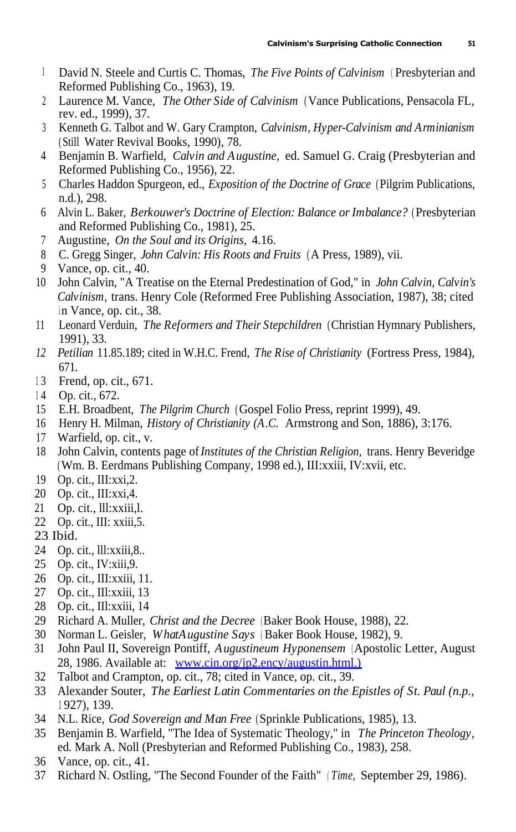- David N. Steele and Curtis C. Thomas, *The Five Points of Calvinism* ( Presbyterian and Reformed Publishing Co., 1963), 19.
- Laurence M. Vance, *The Other Side of Calvinism* (Vance Publications, Pensacola FL, rev. ed., 1999), 37.
- Kenneth G. Talbot and W. Gary Crampton, *Calvinism, Hyper-Calvinism and Arminianism* ( Still Water Revival Books, 1990), 78.
- Benjamin B. Warfield, *Calvin and Augustine,* ed. Samuel G. Craig (Presbyterian and Reformed Publishing Co., 1956), 22.
- Charles Haddon Spurgeon, ed., *Exposition of the Doctrine of Grace* (Pilgrim Publications, n.d.), 298.
- Alvin L. Baker, *Berkouwer's Doctrine of Election: Balance or Imbalance?* (Presbyterian and Reformed Publishing Co., 1981), 25.
- Augustine, *On the Soul and its Origins,* 4.16.
- C. Gregg Singer, *John Calvin: His Roots and Fruits* (A Press, 1989), vii.
- Vance, op. cit., 40.
- John Calvin, "A Treatise on the Eternal Predestination of God," in *John Calvin, Calvin's Calvinism,* trans. Henry Cole (Reformed Free Publishing Association, 1987), 38; cited in Vance, op. cit., 38.
- Leonard Verduin, *The Reformers and Their Stepchildren* (Christian Hymnary Publishers, 1991), 33.
- *Petilian* 11.85.189; cited in W.H.C. Frend, *The Rise of Christianity* (Fortress Press, 1984), 671.
- 13 Frend, op. cit., 671.
- 14 Op. cit., 672.
- E.H. Broadbent, *The Pilgrim Church* (Gospel Folio Press, reprint 1999), 49.
- Henry H. Milman, *History of Christianity (A.C.* Armstrong and Son, 1886), 3:176.
- Warfield, op. cit., v.
- John Calvin, contents page of*Institutes of the Christian Religion,* trans. Henry Beveridge (Wm. B. Eerdmans Publishing Company, 1998 ed.), III:xxiii, IV:xvii, etc.
- Op. cit., III:xxi,2.
- Op. cit., III:xxi,4.
- Op. cit., lll:xxiii,l.
- Op. cit., III: xxiii,5.
- 23 Ibid.
- Op. cit., lll:xxiii,8..
- Op. cit., IV:xiii,9.
- Op. cit., III:xxiii, 11.
- Op. cit., IIl:xxiii, 13
- Op. cit., IIl:xxiii, 14
- Richard A. Muller, *Christ and the Decree* (Baker Book House, 1988), 22.
- Norman L. Geisler, *WhatAugustine Says* ( Baker Book House, 1982), 9.
- John Paul II, Sovereign Pontiff, *Augustineum Hyponensem* ( Apostolic Letter, August 28, 1986. Available at: [www.cin.org/jp2.ency/augustin.html.\)](http://www.cin.org/jp2.ency/augustin.html.))
- Talbot and Crampton, op. cit., 78; cited in Vance, op. cit., 39.
- Alexander Souter, *The Earliest Latin Commentaries on the Epistles of St. Paul (n.p.,* 927), 139.
- N.L. Rice, *God Sovereign and Man Free* (Sprinkle Publications, 1985), 13.
- Benjamin B. Warfield, "The Idea of Systematic Theology," in *The Princeton Theology,* ed. Mark A. Noll (Presbyterian and Reformed Publishing Co., 1983), 258.
- Vance, op. cit., 41.
- Richard N. Ostling, "The Second Founder of the Faith" *( Time,* September 29, 1986).